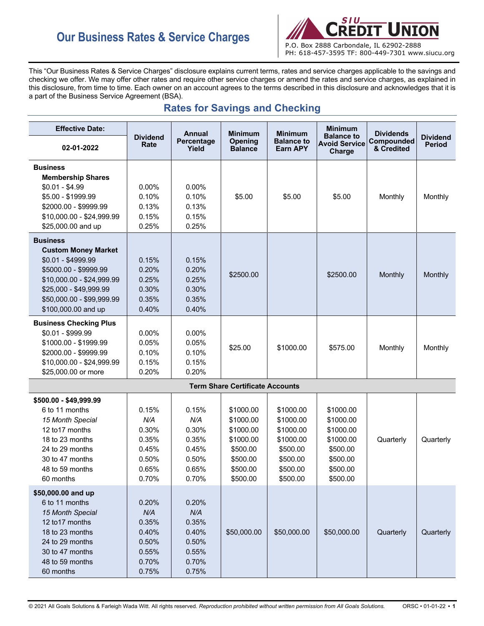# **Our Business Rates & Service Charges** P.O. Box 2888 Carbondale, IL 62902-2888



This "Our Business Rates & Service Charges" disclosure explains current terms, rates and service charges applicable to the savings and

checking we offer. We may offer other rates and require other service charges or amend the rates and service charges, as explained in this disclosure, from time to time. Each owner on an account agrees to the terms described in this disclosure and acknowledges that it is a part of the Business Service Agreement (BSA).

|  |  |  |  | <b>Rates for Savings and Checking</b> |
|--|--|--|--|---------------------------------------|
|--|--|--|--|---------------------------------------|

| <b>Effective Date:</b>        |                         | <b>Annual</b>       | <b>Minimum</b>                         | <b>Minimum</b>                | <b>Minimum</b>                                      | <b>Dividends</b>         |                                  |
|-------------------------------|-------------------------|---------------------|----------------------------------------|-------------------------------|-----------------------------------------------------|--------------------------|----------------------------------|
| 02-01-2022                    | <b>Dividend</b><br>Rate | Percentage<br>Yield | <b>Opening</b><br><b>Balance</b>       | <b>Balance to</b><br>Earn APY | <b>Balance to</b><br><b>Avoid Service</b><br>Charge | Compounded<br>& Credited | <b>Dividend</b><br><b>Period</b> |
| <b>Business</b>               |                         |                     |                                        |                               |                                                     |                          |                                  |
| <b>Membership Shares</b>      |                         |                     |                                        |                               |                                                     |                          |                                  |
| $$0.01 - $4.99$               | $0.00\%$                | 0.00%               |                                        |                               |                                                     |                          |                                  |
| \$5.00 - \$1999.99            | 0.10%                   | 0.10%               | \$5.00                                 | \$5.00                        | \$5.00                                              | Monthly                  | Monthly                          |
| \$2000.00 - \$9999.99         | 0.13%                   | 0.13%               |                                        |                               |                                                     |                          |                                  |
| \$10,000.00 - \$24,999.99     | 0.15%                   | 0.15%               |                                        |                               |                                                     |                          |                                  |
| \$25,000.00 and up            | 0.25%                   | 0.25%               |                                        |                               |                                                     |                          |                                  |
| <b>Business</b>               |                         |                     |                                        |                               |                                                     |                          |                                  |
| <b>Custom Money Market</b>    |                         |                     |                                        |                               |                                                     |                          |                                  |
| $$0.01 - $4999.99$            | 0.15%                   | 0.15%               |                                        |                               |                                                     |                          |                                  |
| \$5000.00 - \$9999.99         | 0.20%                   | 0.20%               | \$2500.00                              |                               | \$2500.00                                           | Monthly                  | Monthly                          |
| \$10,000.00 - \$24,999.99     | 0.25%                   | 0.25%               |                                        |                               |                                                     |                          |                                  |
| \$25,000 - \$49,999.99        | 0.30%                   | 0.30%               |                                        |                               |                                                     |                          |                                  |
| \$50,000.00 - \$99,999.99     | 0.35%                   | 0.35%               |                                        |                               |                                                     |                          |                                  |
| \$100,000.00 and up           | 0.40%                   | 0.40%               |                                        |                               |                                                     |                          |                                  |
| <b>Business Checking Plus</b> |                         |                     |                                        |                               |                                                     |                          |                                  |
| $$0.01 - $999.99$             | 0.00%                   | 0.00%               |                                        |                               |                                                     |                          |                                  |
| \$1000.00 - \$1999.99         | 0.05%                   | 0.05%               | \$25.00                                | \$1000.00                     | \$575.00                                            | Monthly                  | Monthly                          |
| \$2000.00 - \$9999.99         | 0.10%                   | 0.10%               |                                        |                               |                                                     |                          |                                  |
| \$10,000.00 - \$24,999.99     | 0.15%                   | 0.15%               |                                        |                               |                                                     |                          |                                  |
| \$25,000.00 or more           | 0.20%                   | 0.20%               |                                        |                               |                                                     |                          |                                  |
|                               |                         |                     | <b>Term Share Certificate Accounts</b> |                               |                                                     |                          |                                  |
| \$500.00 - \$49,999.99        |                         |                     |                                        |                               |                                                     |                          |                                  |
| 6 to 11 months                | 0.15%                   | 0.15%               | \$1000.00                              | \$1000.00                     | \$1000.00                                           |                          |                                  |
| 15 Month Special              | N/A                     | N/A                 | \$1000.00                              | \$1000.00                     | \$1000.00                                           |                          |                                  |
| 12 to 17 months               | 0.30%                   | 0.30%               | \$1000.00                              | \$1000.00                     | \$1000.00                                           |                          |                                  |
| 18 to 23 months               | 0.35%                   | 0.35%               | \$1000.00                              | \$1000.00                     | \$1000.00                                           | Quarterly                | Quarterly                        |
| 24 to 29 months               | 0.45%                   | 0.45%               | \$500.00                               | \$500.00                      | \$500.00                                            |                          |                                  |
| 30 to 47 months               | 0.50%                   | 0.50%               | \$500.00                               | \$500.00                      | \$500.00                                            |                          |                                  |
| 48 to 59 months               | 0.65%                   | 0.65%               | \$500.00                               | \$500.00                      | \$500.00                                            |                          |                                  |
| 60 months                     | 0.70%                   | 0.70%               | \$500.00                               | \$500.00                      | \$500.00                                            |                          |                                  |
| \$50,000.00 and up            |                         |                     |                                        |                               |                                                     |                          |                                  |
| 6 to 11 months                | 0.20%                   | 0.20%               |                                        |                               |                                                     |                          |                                  |
| 15 Month Special              | N/A                     | N/A                 |                                        |                               |                                                     |                          |                                  |
| 12 to 17 months               | 0.35%                   | 0.35%               |                                        |                               |                                                     |                          |                                  |
| 18 to 23 months               | 0.40%                   | 0.40%               | \$50,000.00                            | \$50,000.00                   | \$50,000.00                                         | Quarterly                | Quarterly                        |
| 24 to 29 months               | 0.50%                   | 0.50%               |                                        |                               |                                                     |                          |                                  |
| 30 to 47 months               | 0.55%                   | 0.55%               |                                        |                               |                                                     |                          |                                  |
| 48 to 59 months               | 0.70%                   | 0.70%               |                                        |                               |                                                     |                          |                                  |
| 60 months                     | 0.75%                   | 0.75%               |                                        |                               |                                                     |                          |                                  |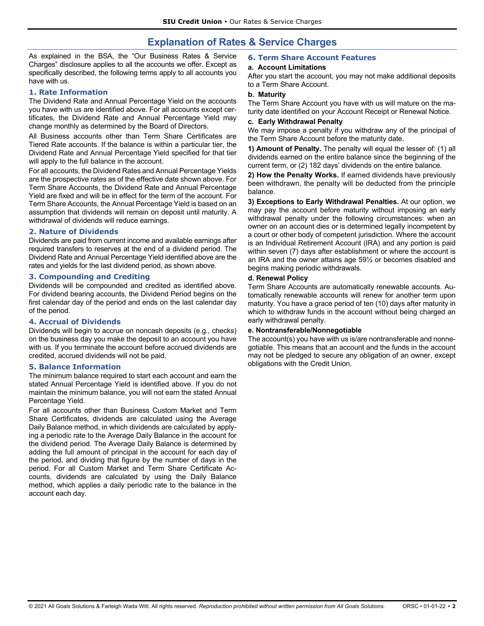# **Explanation of Rates & Service Charges**

As explained in the BSA, the "Our Business Rates & Service Charges" disclosure applies to all the accounts we offer. Except as specifically described, the following terms apply to all accounts you have with us.

#### **1. Rate Information**

The Dividend Rate and Annual Percentage Yield on the accounts you have with us are identified above. For all accounts except certificates, the Dividend Rate and Annual Percentage Yield may change monthly as determined by the Board of Directors.

All Business accounts other than Term Share Certificates are Tiered Rate accounts. If the balance is within a particular tier, the Dividend Rate and Annual Percentage Yield specified for that tier will apply to the full balance in the account.

For all accounts, the Dividend Rates and Annual Percentage Yields are the prospective rates as of the effective date shown above. For Term Share Accounts, the Dividend Rate and Annual Percentage Yield are fixed and will be in effect for the term of the account. For Term Share Accounts, the Annual Percentage Yield is based on an assumption that dividends will remain on deposit until maturity. A withdrawal of dividends will reduce earnings.

#### **2. Nature of Dividends**

Dividends are paid from current income and available earnings after required transfers to reserves at the end of a dividend period. The Dividend Rate and Annual Percentage Yield identified above are the rates and yields for the last dividend period, as shown above.

#### **3. Compounding and Crediting**

Dividends will be compounded and credited as identified above. For dividend bearing accounts, the Dividend Period begins on the first calendar day of the period and ends on the last calendar day of the period.

#### **4. Accrual of Dividends**

Dividends will begin to accrue on noncash deposits (e.g., checks) on the business day you make the deposit to an account you have with us. If you terminate the account before accrued dividends are credited, accrued dividends will not be paid.

# **5. Balance Information**

The minimum balance required to start each account and earn the stated Annual Percentage Yield is identified above. If you do not maintain the minimum balance, you will not earn the stated Annual Percentage Yield.

For all accounts other than Business Custom Market and Term Share Certificates, dividends are calculated using the Average Daily Balance method, in which dividends are calculated by applying a periodic rate to the Average Daily Balance in the account for the dividend period. The Average Daily Balance is determined by adding the full amount of principal in the account for each day of the period, and dividing that figure by the number of days in the period. For all Custom Market and Term Share Certificate Accounts, dividends are calculated by using the Daily Balance method, which applies a daily periodic rate to the balance in the account each day.

# **6. Term Share Account Features**

#### **a. Account Limitations**

After you start the account, you may not make additional deposits to a Term Share Account.

# **b. Maturity**

The Term Share Account you have with us will mature on the maturity date identified on your Account Receipt or Renewal Notice.

#### **c. Early Withdrawal Penalty**

We may impose a penalty if you withdraw any of the principal of the Term Share Account before the maturity date.

**1) Amount of Penalty.** The penalty will equal the lesser of: (1) all dividends earned on the entire balance since the beginning of the current term, or (2) 182 days' dividends on the entire balance.

**2) How the Penalty Works.** If earned dividends have previously been withdrawn, the penalty will be deducted from the principle balance.

**3) Exceptions to Early Withdrawal Penalties.** At our option, we may pay the account before maturity without imposing an early withdrawal penalty under the following circumstances: when an owner on an account dies or is determined legally incompetent by a court or other body of competent jurisdiction. Where the account is an Individual Retirement Account (IRA) and any portion is paid within seven (7) days after establishment or where the account is an IRA and the owner attains age 59½ or becomes disabled and begins making periodic withdrawals.

#### **d. Renewal Policy**

Term Share Accounts are automatically renewable accounts. Automatically renewable accounts will renew for another term upon maturity. You have a grace period of ten (10) days after maturity in which to withdraw funds in the account without being charged an early withdrawal penalty.

#### **e. Nontransferable/Nonnegotiable**

The account(s) you have with us is/are nontransferable and nonnegotiable. This means that an account and the funds in the account may not be pledged to secure any obligation of an owner, except obligations with the Credit Union.